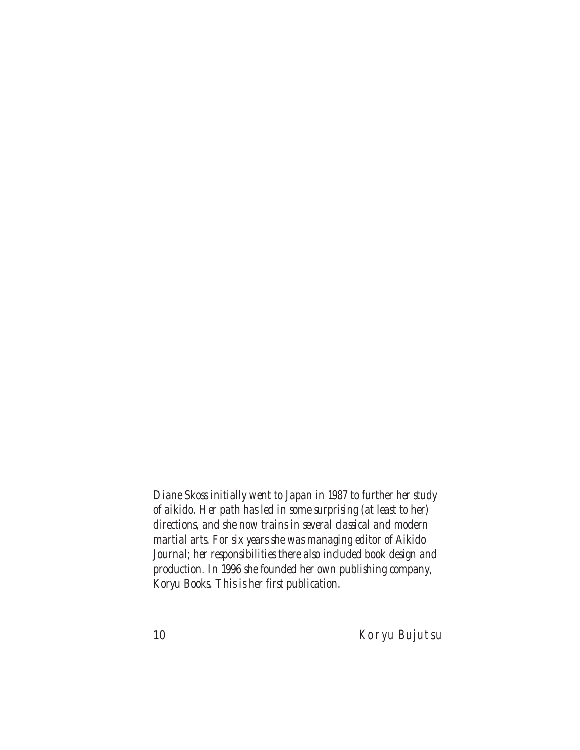*Diane Skoss initially went to Japan in 1987 to further her study of aikido. Her path has led in some surprising (at least to her) directions, and she now trains in several classical and modern martial arts. For six years she was managing editor of Aikido Journal; her responsibilities there also included book design and production. In 1996 she founded her own publishing company, Koryu Books. This is her first publication.*

10 Koryu Bujutsu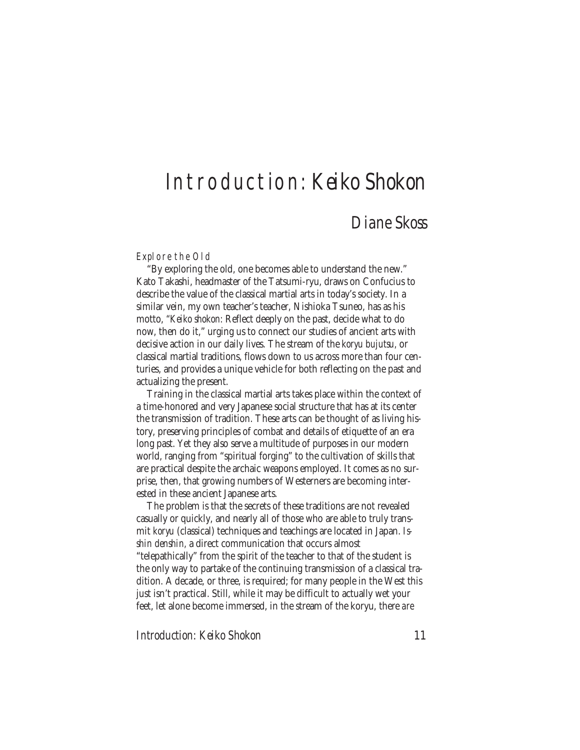## Introduction: *Keiko Shokon*

## *Diane Skoss*

Explore the Old

"By exploring the old, one becomes able to understand the new." Kato Takashi, headmaster of the Tatsumi-ryu, draws on Confucius to describe the value of the classical martial arts in today's society. In a similar vein, my own teacher's teacher, Nishioka Tsuneo, has as his motto, *"Keiko shokon:* Reflect deeply on the past, decide what to do now, then do it," urging us to connect our studies of ancient arts with decisive action in our daily lives. The stream of the *koryu bujutsu,* or classical martial traditions, flows down to us across more than four centuries, and provides a unique vehicle for both reflecting on the past and actualizing the present.

Training in the classical martial arts takes place within the context of a time-honored and very Japanese social structure that has at its center the transmission of tradition. These arts can be thought of as living history, preserving principles of combat and details of etiquette of an era long past. Yet they also serve a multitude of purposes in our modern world, ranging from "spiritual forging" to the cultivation of skills that are practical despite the archaic weapons employed. It comes as no surprise, then, that growing numbers of Westerners are becoming interested in these ancient Japanese arts.

The problem is that the secrets of these traditions are not revealed casually or quickly, and nearly all of those who are able to truly transmit *koryu* (classical) techniques and teachings are located in Japan. *Isshin denshin,* a direct communication that occurs almost "telepathically" from the spirit of the teacher to that of the student is the only way to partake of the continuing transmission of a classical tradition. A decade, or three, is required; for many people in the West this just isn't practical. Still, while it may be difficult to actually wet your feet, let alone become immersed, in the stream of the koryu, there *are*

*Introduction: Keiko Shokon* 11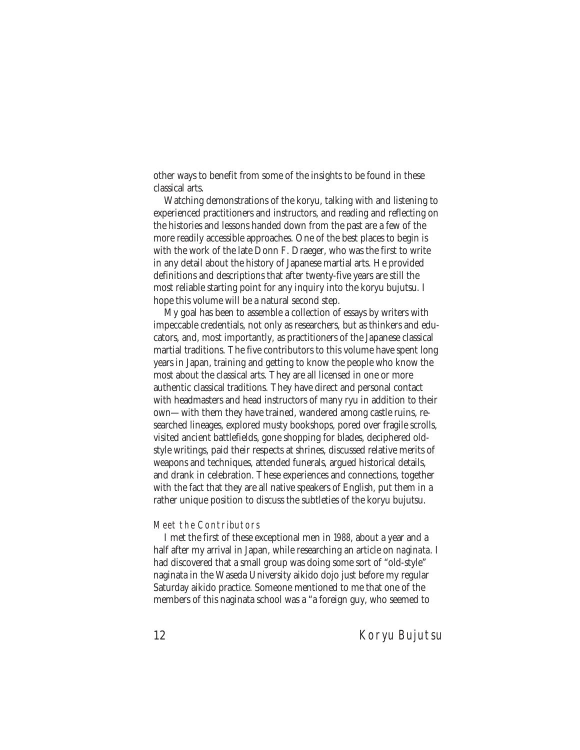other ways to benefit from some of the insights to be found in these classical arts.

Watching demonstrations of the koryu, talking with and listening to experienced practitioners and instructors, and reading and reflecting on the histories and lessons handed down from the past are a few of the more readily accessible approaches. One of the best places to begin is with the work of the late Donn F. Draeger, who was the first to write in any detail about the history of Japanese martial arts. He provided definitions and descriptions that after twenty-five years are still the most reliable starting point for any inquiry into the koryu bujutsu. I hope this volume will be a natural second step.

My goal has been to assemble a collection of essays by writers with impeccable credentials, not only as researchers, but as thinkers and educators, and, most importantly, as practitioners of the Japanese classical martial traditions. The five contributors to this volume have spent long years in Japan, training and getting to know the people who know the most about the classical arts. They are all licensed in one or more authentic classical traditions. They have direct and personal contact with headmasters and head instructors of many ryu in addition to their own—with them they have trained, wandered among castle ruins, researched lineages, explored musty bookshops, pored over fragile scrolls, visited ancient battlefields, gone shopping for blades, deciphered oldstyle writings, paid their respects at shrines, discussed relative merits of weapons and techniques, attended funerals, argued historical details, and drank in celebration. These experiences and connections, together with the fact that they are all native speakers of English, put them in a rather unique position to discuss the subtleties of the koryu bujutsu.

## Meet the Contributors

I met the first of these exceptional men in 1988, about a year and a half after my arrival in Japan, while researching an article on *naginata.* I had discovered that a small group was doing some sort of "old-style" naginata in the Waseda University aikido dojo just before my regular Saturday aikido practice. Someone mentioned to me that one of the members of this naginata school was a "a foreign guy, who seemed to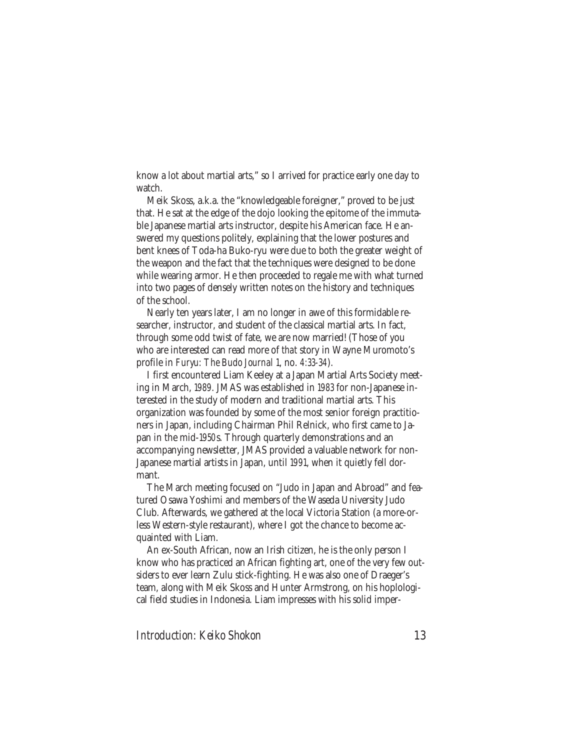know a lot about martial arts," so I arrived for practice early one day to watch.

Meik Skoss, a.k.a. the "knowledgeable foreigner," proved to be just that. He sat at the edge of the dojo looking the epitome of the immutable Japanese martial arts instructor, despite his American face. He answered my questions politely, explaining that the lower postures and bent knees of Toda-ha Buko-ryu were due to both the greater weight of the weapon and the fact that the techniques were designed to be done while wearing armor. He then proceeded to regale me with what turned into two pages of densely written notes on the history and techniques of the school.

Nearly ten years later, I am no longer in awe of this formidable researcher, instructor, and student of the classical martial arts. In fact, through some odd twist of fate, we are now married! (Those of you who are interested can read more of *that* story in Wayne Muromoto's profile in *Furyu: The Budo Journal* 1, no. 4:33-34).

I first encountered Liam Keeley at a Japan Martial Arts Society meeting in March, 1989. JMAS was established in 1983 for non-Japanese interested in the study of modern and traditional martial arts. This organization was founded by some of the most senior foreign practitioners in Japan, including Chairman Phil Relnick, who first came to Japan in the mid-1950s. Through quarterly demonstrations and an accompanying newsletter, JMAS provided a valuable network for non-Japanese martial artists in Japan, until 1991, when it quietly fell dormant.

The March meeting focused on "Judo in Japan and Abroad" and featured Osawa Yoshimi and members of the Waseda University Judo Club. Afterwards, we gathered at the local Victoria Station (a more-orless Western-style restaurant), where I got the chance to become acquainted with Liam.

An ex-South African, now an Irish citizen, he is the only person I know who has practiced an African fighting art, one of the very few outsiders to ever learn Zulu stick-fighting. He was also one of Draeger's team, along with Meik Skoss and Hunter Armstrong, on his hoplological field studies in Indonesia. Liam impresses with his solid imper-

*Introduction: Keiko Shokon* 13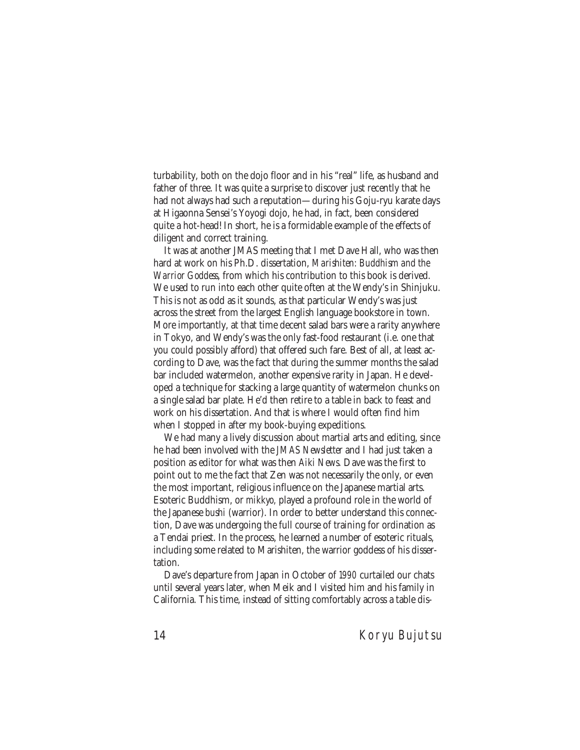turbability, both on the dojo floor and in his "real" life, as husband and father of three. It was quite a surprise to discover just recently that he had not always had such a reputation—during his Goju-ryu karate days at Higaonna Sensei's Yoyogi dojo, he had, in fact, been considered quite a hot-head! In short, he is a formidable example of the effects of diligent and correct training.

It was at another JMAS meeting that I met Dave Hall, who was then hard at work on his Ph.D. dissertation, *Marishiten: Buddhism and the Warrior Goddess*, from which his contribution to this book is derived. We used to run into each other quite often at the Wendy's in Shinjuku. This is not as odd as it sounds, as that particular Wendy's was just across the street from the largest English language bookstore in town. More importantly, at that time decent salad bars were a rarity anywhere in Tokyo, and Wendy's was the only fast-food restaurant (i.e. one that you could possibly afford) that offered such fare. Best of all, at least according to Dave, was the fact that during the summer months the salad bar included watermelon, another expensive rarity in Japan. He developed a technique for stacking a large quantity of watermelon chunks on a single salad bar plate. He'd then retire to a table in back to feast and work on his dissertation. And that is where I would often find him when I stopped in after my book-buying expeditions.

We had many a lively discussion about martial arts and editing, since he had been involved with the *JMAS Newsletter* and I had just taken a position as editor for what was then *Aiki News*. Dave was the first to point out to me the fact that Zen was not necessarily the only, or even the most important, religious influence on the Japanese martial arts. Esoteric Buddhism, or *mikkyo,* played a profound role in the world of the Japanese *bushi* (warrior). In order to better understand this connection, Dave was undergoing the full course of training for ordination as a Tendai priest. In the process, he learned a number of esoteric rituals, including some related to Marishiten, the warrior goddess of his dissertation.

Dave's departure from Japan in October of 1990 curtailed our chats until several years later, when Meik and I visited him and his family in California. This time, instead of sitting comfortably across a table dis-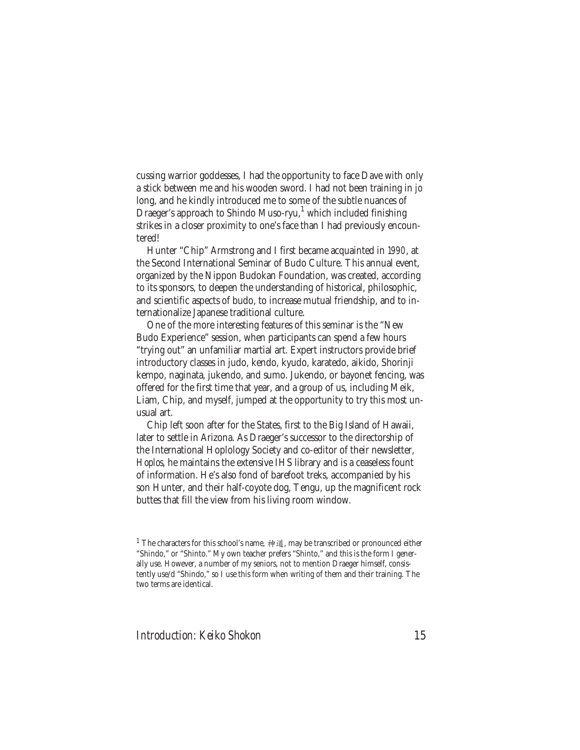cussing warrior goddesses, I had the opportunity to face Dave with only a stick between me and his wooden sword. I had not been training in *jo* long, and he kindly introduced me to some of the subtle nuances of Draeger's approach to Shindo Muso-ryu,<sup>1</sup> which included finishing strikes in a closer proximity to one's face than I had previously encountered!

Hunter "Chip" Armstrong and I first became acquainted in 1990, at the Second International Seminar of Budo Culture. This annual event, organized by the Nippon Budokan Foundation, was created, according to its sponsors, to deepen the understanding of historical, philosophic, and scientific aspects of budo, to increase mutual friendship, and to internationalize Japanese traditional culture.

One of the more interesting features of this seminar is the "New Budo Experience" session, when participants can spend a few hours "trying out" an unfamiliar martial art. Expert instructors provide brief introductory classes in judo, kendo, kyudo, karatedo, aikido, Shorinji kempo, naginata, jukendo, and sumo. Jukendo, or bayonet fencing, was offered for the first time that year, and a group of us, including Meik, Liam, Chip, and myself, jumped at the opportunity to try this most unusual art.

Chip left soon after for the States, first to the Big Island of Hawaii, later to settle in Arizona. As Draeger's successor to the directorship of the International Hoplology Society and co-editor of their newsletter, *Hoplos*, he maintains the extensive IHS library and is a ceaseless fount of information. He's also fond of barefoot treks, accompanied by his son Hunter, and their half-coyote dog, Tengu, up the magnificent rock buttes that fill the view from his living room window.

<sup>&</sup>lt;sup>1</sup> The characters for this school's name,  $\dot{\hat{\phi}}$  and  $\hat{\hat{\phi}}$ , may be transcribed or pronounced either "Shindo," or "Shinto." My own teacher prefers "Shinto," and this is the form I generally use. However, a number of my seniors, not to mention Draeger himself, consistently use/d "Shindo," so I use this form when writing of them and their training. The two terms are identical.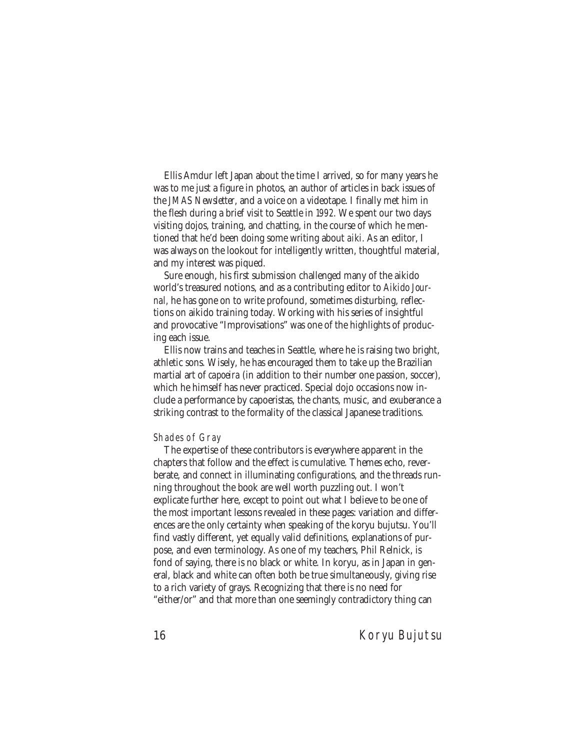Ellis Amdur left Japan about the time I arrived, so for many years he was to me just a figure in photos, an author of articles in back issues of the *JMAS Newsletter*, and a voice on a videotape. I finally met him in the flesh during a brief visit to Seattle in 1992. We spent our two days visiting dojos, training, and chatting, in the course of which he mentioned that he'd been doing some writing about *aiki.* As an editor, I was always on the lookout for intelligently written, thoughtful material, and my interest was piqued.

Sure enough, his first submission challenged many of the aikido world's treasured notions, and as a contributing editor to *Aikido Journal*, he has gone on to write profound, sometimes disturbing, reflections on aikido training today. Working with his series of insightful and provocative "Improvisations" was one of the highlights of producing each issue.

Ellis now trains and teaches in Seattle, where he is raising two bright, athletic sons. Wisely, he has encouraged them to take up the Brazilian martial art of *capoeira* (in addition to their number one passion, soccer), which he himself has never practiced. Special dojo occasions now include a performance by capoeristas, the chants, music, and exuberance a striking contrast to the formality of the classical Japanese traditions.

## Shades of Gray

The expertise of these contributors is everywhere apparent in the chapters that follow and the effect is cumulative. Themes echo, reverberate, and connect in illuminating configurations, and the threads running throughout the book are well worth puzzling out. I won't explicate further here, except to point out what I believe to be one of the most important lessons revealed in these pages: variation and differences are the only certainty when speaking of the koryu bujutsu. You'll find vastly different, yet equally valid definitions, explanations of purpose, and even terminology. As one of my teachers, Phil Relnick, is fond of saying, there is no black or white. In koryu, as in Japan in general, black and white can often both be true simultaneously, giving rise to a rich variety of grays. Recognizing that there is no need for "either/or" and that more than one seemingly contradictory thing can

16 Koryu Bujutsu